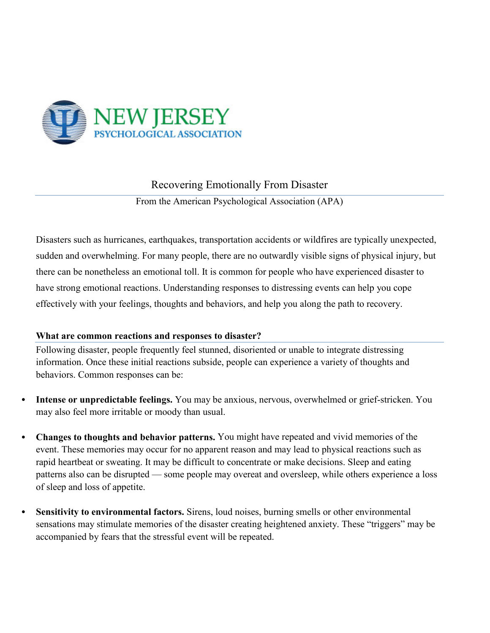

Recovering Emotionally From Disaster

From the American Psychological Association (APA)

Disasters such as hurricanes, earthquakes, transportation accidents or wildfires are typically unexpected, sudden and overwhelming. For many people, there are no outwardly visible signs of physical injury, but there can be nonetheless an emotional toll. It is common for people who have experienced disaster to have strong emotional reactions. Understanding responses to distressing events can help you cope effectively with your feelings, thoughts and behaviors, and help you along the path to recovery.

## **What are common reactions and responses to disaster?**

Following disaster, people frequently feel stunned, disoriented or unable to integrate distressing information. Once these initial reactions subside, people can experience a variety of thoughts and behaviors. Common responses can be:

- **Intense or unpredictable feelings.** You may be anxious, nervous, overwhelmed or grief-stricken. You may also feel more irritable or moody than usual.
- **Changes to thoughts and behavior patterns.** You might have repeated and vivid memories of the event. These memories may occur for no apparent reason and may lead to physical reactions such as rapid heartbeat or sweating. It may be difficult to concentrate or make decisions. Sleep and eating patterns also can be disrupted — some people may overeat and oversleep, while others experience a loss of sleep and loss of appetite.
- **Sensitivity to environmental factors.** Sirens, loud noises, burning smells or other environmental sensations may stimulate memories of the disaster creating heightened anxiety. These "triggers" may be accompanied by fears that the stressful event will be repeated.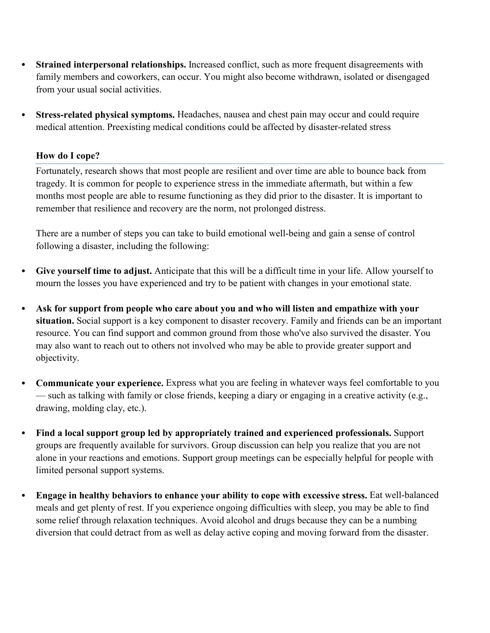- **Strained interpersonal relationships.** Increased conflict, such as more frequent disagreements with family members and coworkers, can occur. You might also become withdrawn, isolated or disengaged from your usual social activities.
- **Stress-related physical symptoms.** Headaches, nausea and chest pain may occur and could require medical attention. Preexisting medical conditions could be affected by disaster-related stress

## **How do I cope?**

Fortunately, research shows that most people are resilient and over time are able to bounce back from tragedy. It is common for people to experience stress in the immediate aftermath, but within a few months most people are able to resume functioning as they did prior to the disaster. It is important to remember that resilience and recovery are the norm, not prolonged distress.

There are a number of steps you can take to build emotional well-being and gain a sense of control following a disaster, including the following:

- **Give yourself time to adjust.** Anticipate that this will be a difficult time in your life. Allow yourself to mourn the losses you have experienced and try to be patient with changes in your emotional state.
- **Ask for support from people who care about you and who will listen and empathize with your situation.** Social support is a key component to disaster recovery. Family and friends can be an important resource. You can find support and common ground from those who've also survived the disaster. You may also want to reach out to others not involved who may be able to provide greater support and objectivity.
- **Communicate your experience.** Express what you are feeling in whatever ways feel comfortable to you — such as talking with family or close friends, keeping a diary or engaging in a creative activity (e.g., drawing, molding clay, etc.).
- **Find a local support group led by appropriately trained and experienced professionals.** Support groups are frequently available for survivors. Group discussion can help you realize that you are not alone in your reactions and emotions. Support group meetings can be especially helpful for people with limited personal support systems.
- **Engage in healthy behaviors to enhance your ability to cope with excessive stress.** Eat well-balanced meals and get plenty of rest. If you experience ongoing difficulties with sleep, you may be able to find some relief through relaxation techniques. Avoid alcohol and drugs because they can be a numbing diversion that could detract from as well as delay active coping and moving forward from the disaster.